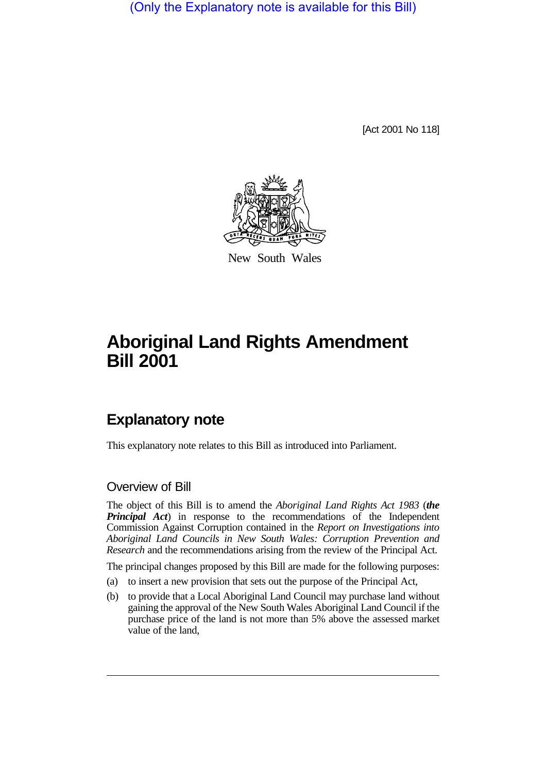(Only the Explanatory note is available for this Bill)

[Act 2001 No 118]



New South Wales

# **Aboriginal Land Rights Amendment Bill 2001**

## **Explanatory note**

This explanatory note relates to this Bill as introduced into Parliament.

## Overview of Bill

The object of this Bill is to amend the *Aboriginal Land Rights Act 1983* (*the Principal Act*) in response to the recommendations of the Independent Commission Against Corruption contained in the *Report on Investigations into Aboriginal Land Councils in New South Wales: Corruption Prevention and Research* and the recommendations arising from the review of the Principal Act.

The principal changes proposed by this Bill are made for the following purposes:

- (a) to insert a new provision that sets out the purpose of the Principal Act,
- (b) to provide that a Local Aboriginal Land Council may purchase land without gaining the approval of the New South Wales Aboriginal Land Council if the purchase price of the land is not more than 5% above the assessed market value of the land,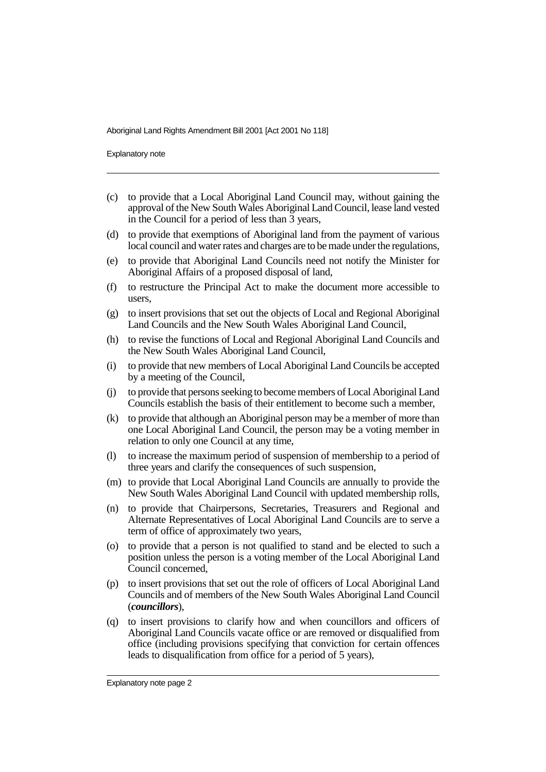Explanatory note

- (c) to provide that a Local Aboriginal Land Council may, without gaining the approval of the New South Wales Aboriginal Land Council, lease land vested in the Council for a period of less than 3 years,
- (d) to provide that exemptions of Aboriginal land from the payment of various local council and water rates and charges are to be made under the regulations,
- (e) to provide that Aboriginal Land Councils need not notify the Minister for Aboriginal Affairs of a proposed disposal of land,
- (f) to restructure the Principal Act to make the document more accessible to users,
- (g) to insert provisions that set out the objects of Local and Regional Aboriginal Land Councils and the New South Wales Aboriginal Land Council,
- (h) to revise the functions of Local and Regional Aboriginal Land Councils and the New South Wales Aboriginal Land Council,
- (i) to provide that new members of Local Aboriginal Land Councils be accepted by a meeting of the Council,
- (j) to provide that persons seeking to become members of Local Aboriginal Land Councils establish the basis of their entitlement to become such a member,
- (k) to provide that although an Aboriginal person may be a member of more than one Local Aboriginal Land Council, the person may be a voting member in relation to only one Council at any time,
- (l) to increase the maximum period of suspension of membership to a period of three years and clarify the consequences of such suspension,
- (m) to provide that Local Aboriginal Land Councils are annually to provide the New South Wales Aboriginal Land Council with updated membership rolls,
- (n) to provide that Chairpersons, Secretaries, Treasurers and Regional and Alternate Representatives of Local Aboriginal Land Councils are to serve a term of office of approximately two years,
- (o) to provide that a person is not qualified to stand and be elected to such a position unless the person is a voting member of the Local Aboriginal Land Council concerned,
- (p) to insert provisions that set out the role of officers of Local Aboriginal Land Councils and of members of the New South Wales Aboriginal Land Council (*councillors*),
- (q) to insert provisions to clarify how and when councillors and officers of Aboriginal Land Councils vacate office or are removed or disqualified from office (including provisions specifying that conviction for certain offences leads to disqualification from office for a period of 5 years),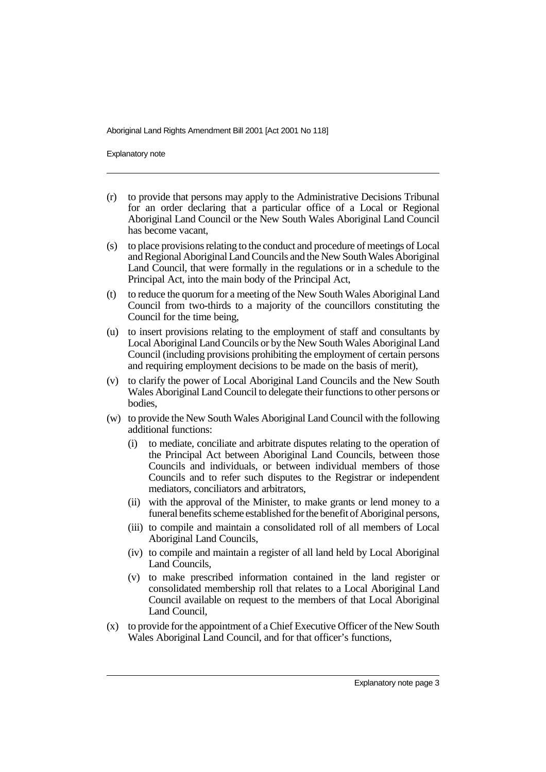Explanatory note

- (r) to provide that persons may apply to the Administrative Decisions Tribunal for an order declaring that a particular office of a Local or Regional Aboriginal Land Council or the New South Wales Aboriginal Land Council has become vacant,
- (s) to place provisions relating to the conduct and procedure of meetings of Local and Regional Aboriginal Land Councils and the New South Wales Aboriginal Land Council, that were formally in the regulations or in a schedule to the Principal Act, into the main body of the Principal Act,
- (t) to reduce the quorum for a meeting of the New South Wales Aboriginal Land Council from two-thirds to a majority of the councillors constituting the Council for the time being,
- (u) to insert provisions relating to the employment of staff and consultants by Local Aboriginal Land Councils or by the New South Wales Aboriginal Land Council (including provisions prohibiting the employment of certain persons and requiring employment decisions to be made on the basis of merit),
- (v) to clarify the power of Local Aboriginal Land Councils and the New South Wales Aboriginal Land Council to delegate their functions to other persons or bodies,
- (w) to provide the New South Wales Aboriginal Land Council with the following additional functions:
	- (i) to mediate, conciliate and arbitrate disputes relating to the operation of the Principal Act between Aboriginal Land Councils, between those Councils and individuals, or between individual members of those Councils and to refer such disputes to the Registrar or independent mediators, conciliators and arbitrators,
	- (ii) with the approval of the Minister, to make grants or lend money to a funeral benefits scheme established for the benefit of Aboriginal persons,
	- (iii) to compile and maintain a consolidated roll of all members of Local Aboriginal Land Councils,
	- (iv) to compile and maintain a register of all land held by Local Aboriginal Land Councils,
	- (v) to make prescribed information contained in the land register or consolidated membership roll that relates to a Local Aboriginal Land Council available on request to the members of that Local Aboriginal Land Council,
- (x) to provide for the appointment of a Chief Executive Officer of the New South Wales Aboriginal Land Council, and for that officer's functions,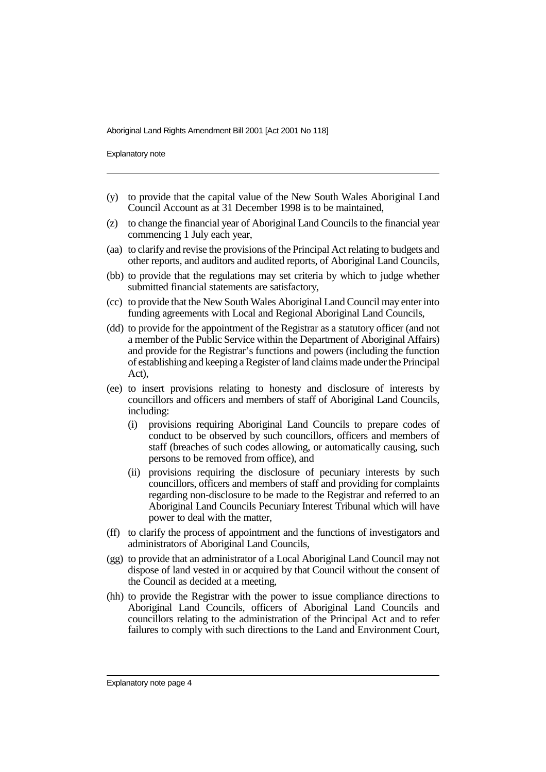Explanatory note

- (y) to provide that the capital value of the New South Wales Aboriginal Land Council Account as at 31 December 1998 is to be maintained,
- (z) to change the financial year of Aboriginal Land Councils to the financial year commencing 1 July each year,
- (aa) to clarify and revise the provisions of the Principal Act relating to budgets and other reports, and auditors and audited reports, of Aboriginal Land Councils,
- (bb) to provide that the regulations may set criteria by which to judge whether submitted financial statements are satisfactory,
- (cc) to provide that the New South Wales Aboriginal Land Council may enter into funding agreements with Local and Regional Aboriginal Land Councils,
- (dd) to provide for the appointment of the Registrar as a statutory officer (and not a member of the Public Service within the Department of Aboriginal Affairs) and provide for the Registrar's functions and powers (including the function of establishing and keeping a Register of land claims made under the Principal Act),
- (ee) to insert provisions relating to honesty and disclosure of interests by councillors and officers and members of staff of Aboriginal Land Councils, including:
	- (i) provisions requiring Aboriginal Land Councils to prepare codes of conduct to be observed by such councillors, officers and members of staff (breaches of such codes allowing, or automatically causing, such persons to be removed from office), and
	- (ii) provisions requiring the disclosure of pecuniary interests by such councillors, officers and members of staff and providing for complaints regarding non-disclosure to be made to the Registrar and referred to an Aboriginal Land Councils Pecuniary Interest Tribunal which will have power to deal with the matter,
- (ff) to clarify the process of appointment and the functions of investigators and administrators of Aboriginal Land Councils,
- (gg) to provide that an administrator of a Local Aboriginal Land Council may not dispose of land vested in or acquired by that Council without the consent of the Council as decided at a meeting,
- (hh) to provide the Registrar with the power to issue compliance directions to Aboriginal Land Councils, officers of Aboriginal Land Councils and councillors relating to the administration of the Principal Act and to refer failures to comply with such directions to the Land and Environment Court,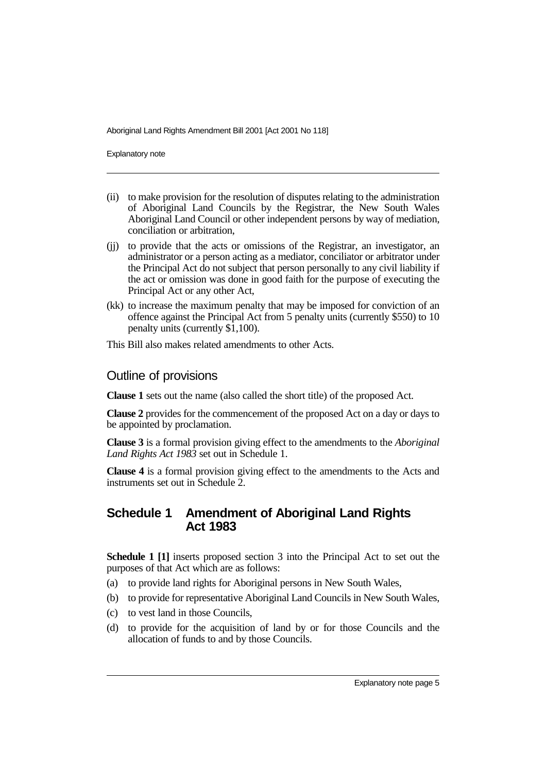Explanatory note

- (ii) to make provision for the resolution of disputes relating to the administration of Aboriginal Land Councils by the Registrar, the New South Wales Aboriginal Land Council or other independent persons by way of mediation, conciliation or arbitration,
- (jj) to provide that the acts or omissions of the Registrar, an investigator, an administrator or a person acting as a mediator, conciliator or arbitrator under the Principal Act do not subject that person personally to any civil liability if the act or omission was done in good faith for the purpose of executing the Principal Act or any other Act,
- (kk) to increase the maximum penalty that may be imposed for conviction of an offence against the Principal Act from 5 penalty units (currently \$550) to 10 penalty units (currently \$1,100).

This Bill also makes related amendments to other Acts.

## Outline of provisions

**Clause 1** sets out the name (also called the short title) of the proposed Act.

**Clause 2** provides for the commencement of the proposed Act on a day or days to be appointed by proclamation.

**Clause 3** is a formal provision giving effect to the amendments to the *Aboriginal Land Rights Act 1983* set out in Schedule 1.

**Clause 4** is a formal provision giving effect to the amendments to the Acts and instruments set out in Schedule 2.

## **Schedule 1 Amendment of Aboriginal Land Rights Act 1983**

**Schedule 1 [1]** inserts proposed section 3 into the Principal Act to set out the purposes of that Act which are as follows:

- (a) to provide land rights for Aboriginal persons in New South Wales,
- (b) to provide for representative Aboriginal Land Councils in New South Wales,
- (c) to vest land in those Councils,
- (d) to provide for the acquisition of land by or for those Councils and the allocation of funds to and by those Councils.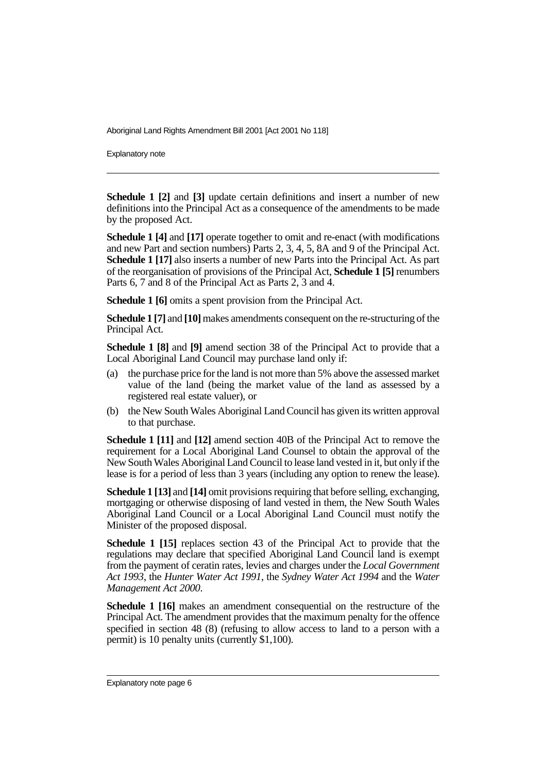Explanatory note

**Schedule 1 [2]** and **[3]** update certain definitions and insert a number of new definitions into the Principal Act as a consequence of the amendments to be made by the proposed Act.

**Schedule 1 [4]** and **[17]** operate together to omit and re-enact (with modifications and new Part and section numbers) Parts 2, 3, 4, 5, 8A and 9 of the Principal Act. **Schedule 1 [17]** also inserts a number of new Parts into the Principal Act. As part of the reorganisation of provisions of the Principal Act, **Schedule 1 [5]** renumbers Parts 6, 7 and 8 of the Principal Act as Parts 2, 3 and 4.

**Schedule 1 [6]** omits a spent provision from the Principal Act.

**Schedule 1 [7]** and **[10]** makes amendments consequent on the re-structuring of the Principal Act.

**Schedule 1 [8]** and **[9]** amend section 38 of the Principal Act to provide that a Local Aboriginal Land Council may purchase land only if:

- (a) the purchase price for the land is not more than 5% above the assessed market value of the land (being the market value of the land as assessed by a registered real estate valuer), or
- (b) the New South Wales Aboriginal Land Council has given its written approval to that purchase.

**Schedule 1 [11]** and **[12]** amend section 40B of the Principal Act to remove the requirement for a Local Aboriginal Land Counsel to obtain the approval of the New South Wales Aboriginal Land Council to lease land vested in it, but only if the lease is for a period of less than 3 years (including any option to renew the lease).

**Schedule 1 [13]** and **[14]** omit provisions requiring that before selling, exchanging, mortgaging or otherwise disposing of land vested in them, the New South Wales Aboriginal Land Council or a Local Aboriginal Land Council must notify the Minister of the proposed disposal.

**Schedule 1 [15]** replaces section 43 of the Principal Act to provide that the regulations may declare that specified Aboriginal Land Council land is exempt from the payment of ceratin rates, levies and charges under the *Local Government Act 1993*, the *Hunter Water Act 1991*, the *Sydney Water Act 1994* and the *Water Management Act 2000*.

**Schedule 1 [16]** makes an amendment consequential on the restructure of the Principal Act. The amendment provides that the maximum penalty for the offence specified in section 48 (8) (refusing to allow access to land to a person with a permit) is 10 penalty units (currently \$1,100).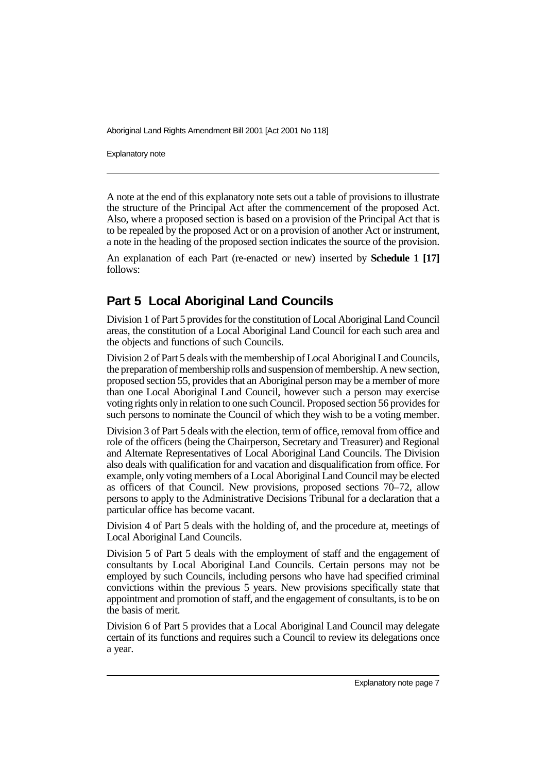Explanatory note

A note at the end of this explanatory note sets out a table of provisions to illustrate the structure of the Principal Act after the commencement of the proposed Act. Also, where a proposed section is based on a provision of the Principal Act that is to be repealed by the proposed Act or on a provision of another Act or instrument, a note in the heading of the proposed section indicates the source of the provision.

An explanation of each Part (re-enacted or new) inserted by **Schedule 1 [17]** follows:

## **Part 5 Local Aboriginal Land Councils**

Division 1 of Part 5 provides for the constitution of Local Aboriginal Land Council areas, the constitution of a Local Aboriginal Land Council for each such area and the objects and functions of such Councils.

Division 2 of Part 5 deals with the membership of Local Aboriginal Land Councils, the preparation of membership rolls and suspension of membership. A new section, proposed section 55, provides that an Aboriginal person may be a member of more than one Local Aboriginal Land Council, however such a person may exercise voting rights only in relation to one such Council. Proposed section 56 provides for such persons to nominate the Council of which they wish to be a voting member.

Division 3 of Part 5 deals with the election, term of office, removal from office and role of the officers (being the Chairperson, Secretary and Treasurer) and Regional and Alternate Representatives of Local Aboriginal Land Councils. The Division also deals with qualification for and vacation and disqualification from office. For example, only voting members of a Local Aboriginal Land Council may be elected as officers of that Council. New provisions, proposed sections 70–72, allow persons to apply to the Administrative Decisions Tribunal for a declaration that a particular office has become vacant.

Division 4 of Part 5 deals with the holding of, and the procedure at, meetings of Local Aboriginal Land Councils.

Division 5 of Part 5 deals with the employment of staff and the engagement of consultants by Local Aboriginal Land Councils. Certain persons may not be employed by such Councils, including persons who have had specified criminal convictions within the previous 5 years. New provisions specifically state that appointment and promotion of staff, and the engagement of consultants, is to be on the basis of merit.

Division 6 of Part 5 provides that a Local Aboriginal Land Council may delegate certain of its functions and requires such a Council to review its delegations once a year.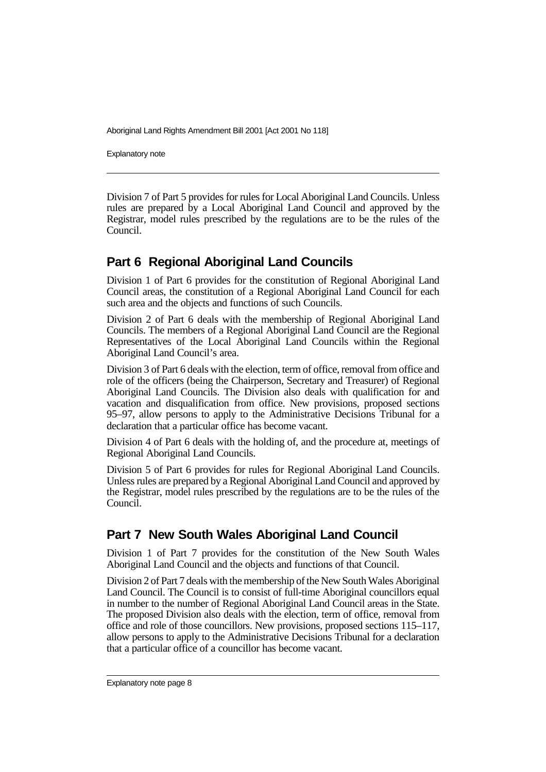Explanatory note

Division 7 of Part 5 provides for rules for Local Aboriginal Land Councils. Unless rules are prepared by a Local Aboriginal Land Council and approved by the Registrar, model rules prescribed by the regulations are to be the rules of the Council.

## **Part 6 Regional Aboriginal Land Councils**

Division 1 of Part 6 provides for the constitution of Regional Aboriginal Land Council areas, the constitution of a Regional Aboriginal Land Council for each such area and the objects and functions of such Councils.

Division 2 of Part 6 deals with the membership of Regional Aboriginal Land Councils. The members of a Regional Aboriginal Land Council are the Regional Representatives of the Local Aboriginal Land Councils within the Regional Aboriginal Land Council's area.

Division 3 of Part 6 deals with the election, term of office, removal from office and role of the officers (being the Chairperson, Secretary and Treasurer) of Regional Aboriginal Land Councils. The Division also deals with qualification for and vacation and disqualification from office. New provisions, proposed sections 95–97, allow persons to apply to the Administrative Decisions Tribunal for a declaration that a particular office has become vacant.

Division 4 of Part 6 deals with the holding of, and the procedure at, meetings of Regional Aboriginal Land Councils.

Division 5 of Part 6 provides for rules for Regional Aboriginal Land Councils. Unless rules are prepared by a Regional Aboriginal Land Council and approved by the Registrar, model rules prescribed by the regulations are to be the rules of the Council.

## **Part 7 New South Wales Aboriginal Land Council**

Division 1 of Part 7 provides for the constitution of the New South Wales Aboriginal Land Council and the objects and functions of that Council.

Division 2 of Part 7 deals with the membership of the New South Wales Aboriginal Land Council. The Council is to consist of full-time Aboriginal councillors equal in number to the number of Regional Aboriginal Land Council areas in the State. The proposed Division also deals with the election, term of office, removal from office and role of those councillors. New provisions, proposed sections 115–117, allow persons to apply to the Administrative Decisions Tribunal for a declaration that a particular office of a councillor has become vacant.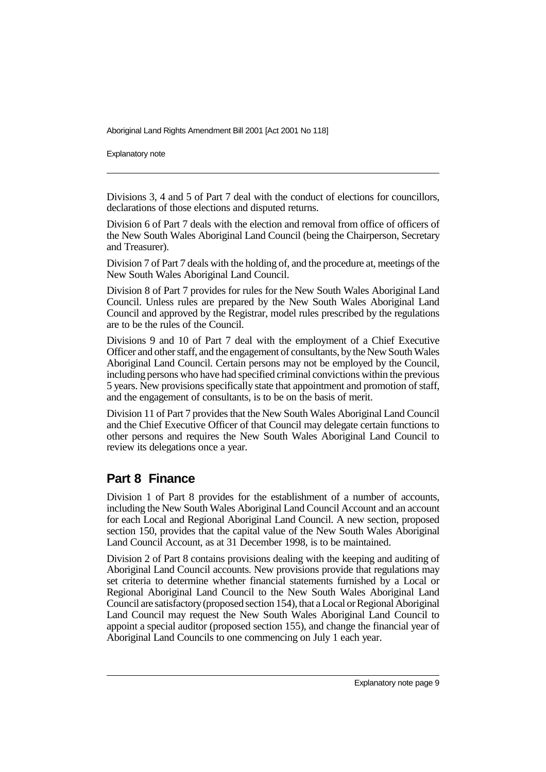Explanatory note

Divisions 3, 4 and 5 of Part 7 deal with the conduct of elections for councillors, declarations of those elections and disputed returns.

Division 6 of Part 7 deals with the election and removal from office of officers of the New South Wales Aboriginal Land Council (being the Chairperson, Secretary and Treasurer).

Division 7 of Part 7 deals with the holding of, and the procedure at, meetings of the New South Wales Aboriginal Land Council.

Division 8 of Part 7 provides for rules for the New South Wales Aboriginal Land Council. Unless rules are prepared by the New South Wales Aboriginal Land Council and approved by the Registrar, model rules prescribed by the regulations are to be the rules of the Council.

Divisions 9 and 10 of Part 7 deal with the employment of a Chief Executive Officer and other staff, and the engagement of consultants, by the New South Wales Aboriginal Land Council. Certain persons may not be employed by the Council, including persons who have had specified criminal convictions within the previous 5 years. New provisions specifically state that appointment and promotion of staff, and the engagement of consultants, is to be on the basis of merit.

Division 11 of Part 7 provides that the New South Wales Aboriginal Land Council and the Chief Executive Officer of that Council may delegate certain functions to other persons and requires the New South Wales Aboriginal Land Council to review its delegations once a year.

## **Part 8 Finance**

Division 1 of Part 8 provides for the establishment of a number of accounts, including the New South Wales Aboriginal Land Council Account and an account for each Local and Regional Aboriginal Land Council. A new section, proposed section 150, provides that the capital value of the New South Wales Aboriginal Land Council Account, as at 31 December 1998, is to be maintained.

Division 2 of Part 8 contains provisions dealing with the keeping and auditing of Aboriginal Land Council accounts. New provisions provide that regulations may set criteria to determine whether financial statements furnished by a Local or Regional Aboriginal Land Council to the New South Wales Aboriginal Land Council are satisfactory (proposed section 154), that a Local or Regional Aboriginal Land Council may request the New South Wales Aboriginal Land Council to appoint a special auditor (proposed section 155), and change the financial year of Aboriginal Land Councils to one commencing on July 1 each year.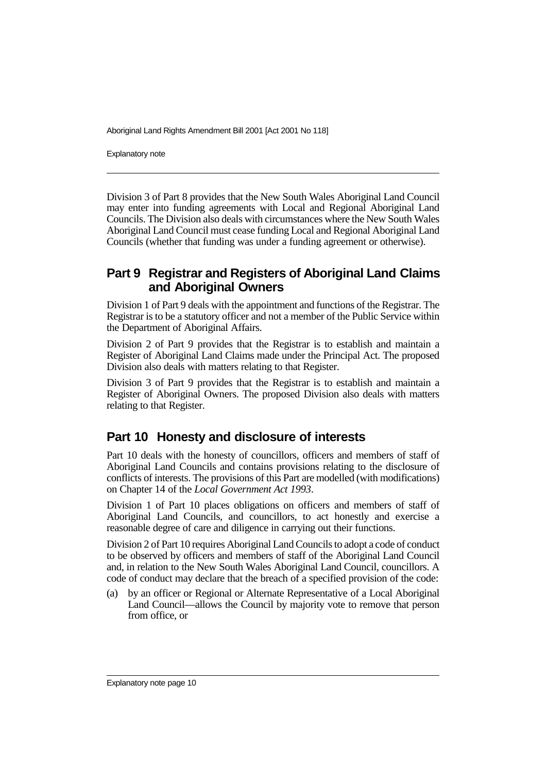Explanatory note

Division 3 of Part 8 provides that the New South Wales Aboriginal Land Council may enter into funding agreements with Local and Regional Aboriginal Land Councils. The Division also deals with circumstances where the New South Wales Aboriginal Land Council must cease funding Local and Regional Aboriginal Land Councils (whether that funding was under a funding agreement or otherwise).

### **Part 9 Registrar and Registers of Aboriginal Land Claims and Aboriginal Owners**

Division 1 of Part 9 deals with the appointment and functions of the Registrar. The Registrar is to be a statutory officer and not a member of the Public Service within the Department of Aboriginal Affairs.

Division 2 of Part 9 provides that the Registrar is to establish and maintain a Register of Aboriginal Land Claims made under the Principal Act. The proposed Division also deals with matters relating to that Register.

Division 3 of Part 9 provides that the Registrar is to establish and maintain a Register of Aboriginal Owners. The proposed Division also deals with matters relating to that Register.

## **Part 10 Honesty and disclosure of interests**

Part 10 deals with the honesty of councillors, officers and members of staff of Aboriginal Land Councils and contains provisions relating to the disclosure of conflicts of interests. The provisions of this Part are modelled (with modifications) on Chapter 14 of the *Local Government Act 1993*.

Division 1 of Part 10 places obligations on officers and members of staff of Aboriginal Land Councils, and councillors, to act honestly and exercise a reasonable degree of care and diligence in carrying out their functions.

Division 2 of Part 10 requires Aboriginal Land Councils to adopt a code of conduct to be observed by officers and members of staff of the Aboriginal Land Council and, in relation to the New South Wales Aboriginal Land Council, councillors. A code of conduct may declare that the breach of a specified provision of the code:

(a) by an officer or Regional or Alternate Representative of a Local Aboriginal Land Council—allows the Council by majority vote to remove that person from office, or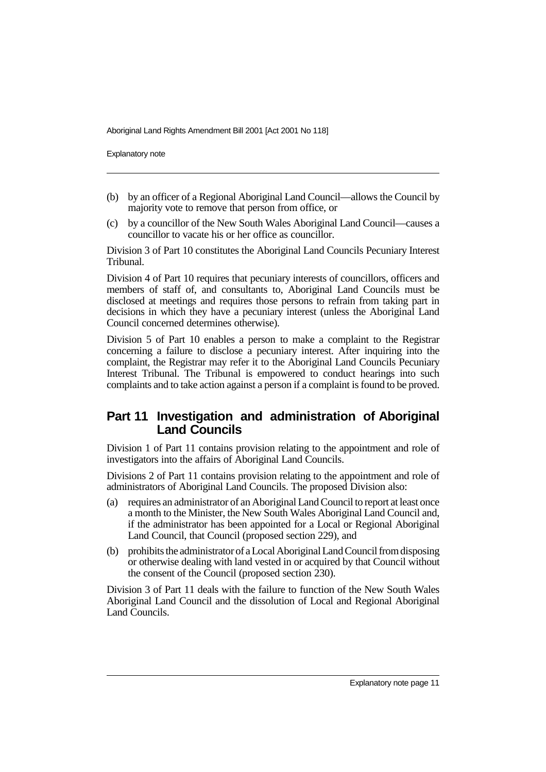Explanatory note

- (b) by an officer of a Regional Aboriginal Land Council—allows the Council by majority vote to remove that person from office, or
- (c) by a councillor of the New South Wales Aboriginal Land Council—causes a councillor to vacate his or her office as councillor.

Division 3 of Part 10 constitutes the Aboriginal Land Councils Pecuniary Interest Tribunal.

Division 4 of Part 10 requires that pecuniary interests of councillors, officers and members of staff of, and consultants to, Aboriginal Land Councils must be disclosed at meetings and requires those persons to refrain from taking part in decisions in which they have a pecuniary interest (unless the Aboriginal Land Council concerned determines otherwise).

Division 5 of Part 10 enables a person to make a complaint to the Registrar concerning a failure to disclose a pecuniary interest. After inquiring into the complaint, the Registrar may refer it to the Aboriginal Land Councils Pecuniary Interest Tribunal. The Tribunal is empowered to conduct hearings into such complaints and to take action against a person if a complaint is found to be proved.

## **Part 11 Investigation and administration of Aboriginal Land Councils**

Division 1 of Part 11 contains provision relating to the appointment and role of investigators into the affairs of Aboriginal Land Councils.

Divisions 2 of Part 11 contains provision relating to the appointment and role of administrators of Aboriginal Land Councils. The proposed Division also:

- (a) requires an administrator of an Aboriginal Land Council to report at least once a month to the Minister, the New South Wales Aboriginal Land Council and, if the administrator has been appointed for a Local or Regional Aboriginal Land Council, that Council (proposed section 229), and
- (b) prohibits the administrator of a Local Aboriginal Land Council from disposing or otherwise dealing with land vested in or acquired by that Council without the consent of the Council (proposed section 230).

Division 3 of Part 11 deals with the failure to function of the New South Wales Aboriginal Land Council and the dissolution of Local and Regional Aboriginal Land Councils.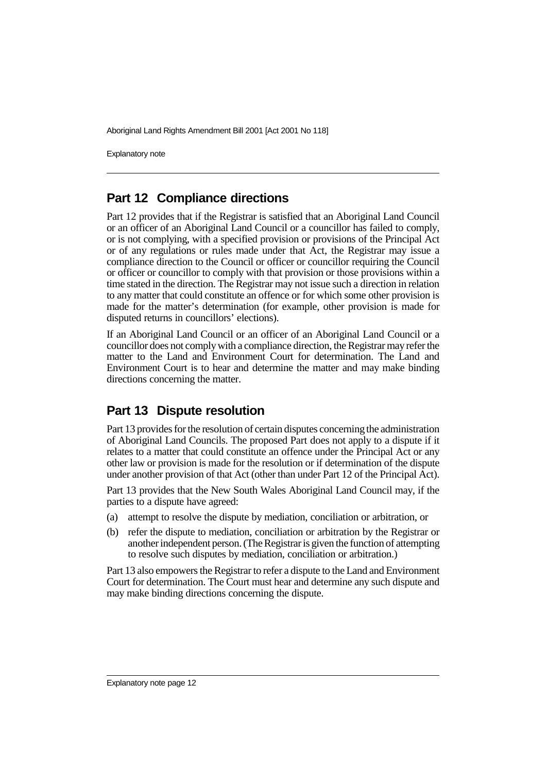Explanatory note

## **Part 12 Compliance directions**

Part 12 provides that if the Registrar is satisfied that an Aboriginal Land Council or an officer of an Aboriginal Land Council or a councillor has failed to comply, or is not complying, with a specified provision or provisions of the Principal Act or of any regulations or rules made under that Act, the Registrar may issue a compliance direction to the Council or officer or councillor requiring the Council or officer or councillor to comply with that provision or those provisions within a time stated in the direction. The Registrar may not issue such a direction in relation to any matter that could constitute an offence or for which some other provision is made for the matter's determination (for example, other provision is made for disputed returns in councillors' elections).

If an Aboriginal Land Council or an officer of an Aboriginal Land Council or a councillor does not comply with a compliance direction, the Registrar may refer the matter to the Land and Environment Court for determination. The Land and Environment Court is to hear and determine the matter and may make binding directions concerning the matter.

## **Part 13 Dispute resolution**

Part 13 provides for the resolution of certain disputes concerning the administration of Aboriginal Land Councils. The proposed Part does not apply to a dispute if it relates to a matter that could constitute an offence under the Principal Act or any other law or provision is made for the resolution or if determination of the dispute under another provision of that Act (other than under Part 12 of the Principal Act).

Part 13 provides that the New South Wales Aboriginal Land Council may, if the parties to a dispute have agreed:

- (a) attempt to resolve the dispute by mediation, conciliation or arbitration, or
- (b) refer the dispute to mediation, conciliation or arbitration by the Registrar or another independent person. (The Registrar is given the function of attempting to resolve such disputes by mediation, conciliation or arbitration.)

Part 13 also empowers the Registrar to refer a dispute to the Land and Environment Court for determination. The Court must hear and determine any such dispute and may make binding directions concerning the dispute.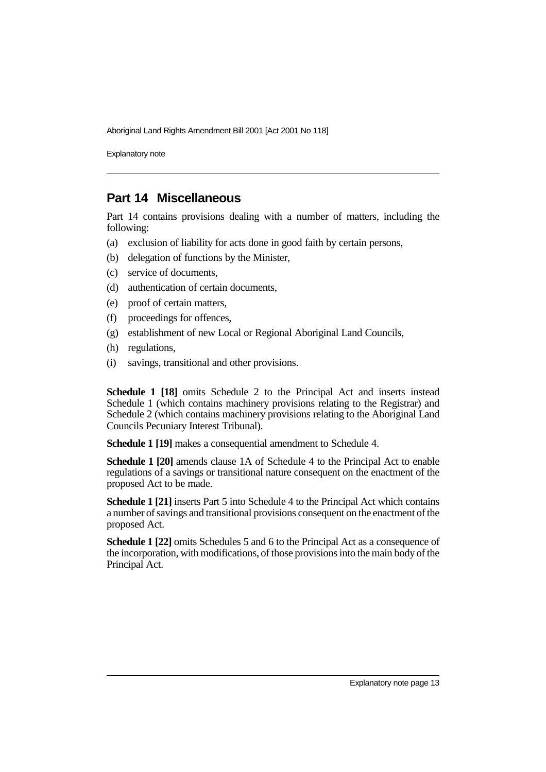Explanatory note

## **Part 14 Miscellaneous**

Part 14 contains provisions dealing with a number of matters, including the following:

- (a) exclusion of liability for acts done in good faith by certain persons,
- (b) delegation of functions by the Minister,
- (c) service of documents,
- (d) authentication of certain documents,
- (e) proof of certain matters,
- (f) proceedings for offences,
- (g) establishment of new Local or Regional Aboriginal Land Councils,
- (h) regulations,
- (i) savings, transitional and other provisions.

**Schedule 1 [18]** omits Schedule 2 to the Principal Act and inserts instead Schedule 1 (which contains machinery provisions relating to the Registrar) and Schedule 2 (which contains machinery provisions relating to the Aboriginal Land Councils Pecuniary Interest Tribunal).

**Schedule 1 [19]** makes a consequential amendment to Schedule 4.

**Schedule 1 [20]** amends clause 1A of Schedule 4 to the Principal Act to enable regulations of a savings or transitional nature consequent on the enactment of the proposed Act to be made.

**Schedule 1 [21]** inserts Part 5 into Schedule 4 to the Principal Act which contains a number of savings and transitional provisions consequent on the enactment of the proposed Act.

**Schedule 1 [22]** omits Schedules 5 and 6 to the Principal Act as a consequence of the incorporation, with modifications, of those provisions into the main body of the Principal Act.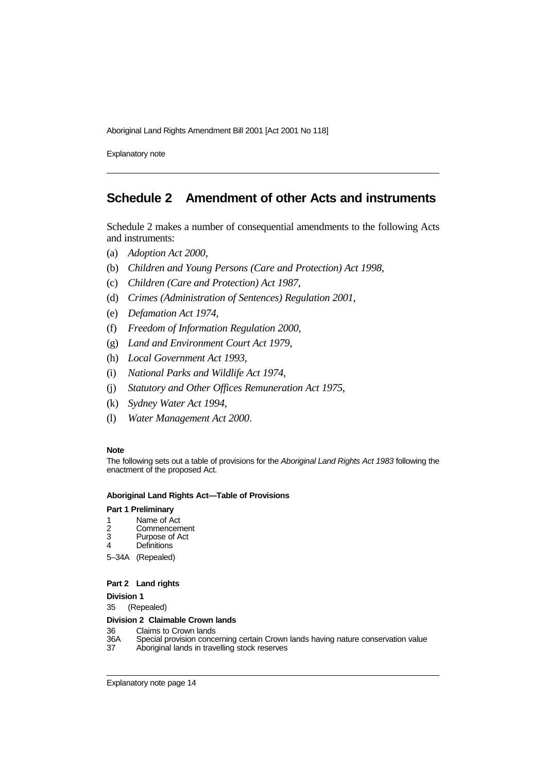Explanatory note

## **Schedule 2 Amendment of other Acts and instruments**

Schedule 2 makes a number of consequential amendments to the following Acts and instruments:

- (a) *Adoption Act 2000*,
- (b) *Children and Young Persons (Care and Protection) Act 1998*,
- (c) *Children (Care and Protection) Act 1987*,
- (d) *Crimes (Administration of Sentences) Regulation 2001*,
- (e) *Defamation Act 1974*,
- (f) *Freedom of Information Regulation 2000*,
- (g) *Land and Environment Court Act 1979*,
- (h) *Local Government Act 1993*,
- (i) *National Parks and Wildlife Act 1974*,
- (j) *Statutory and Other Offices Remuneration Act 1975*,
- (k) *Sydney Water Act 1994*,
- (l) *Water Management Act 2000*.

#### **Note**

The following sets out a table of provisions for the Aboriginal Land Rights Act 1983 following the enactment of the proposed Act.

#### **Aboriginal Land Rights Act—Table of Provisions**

#### **Part 1 Preliminary**

- 1 Name of Act<br>2 Commencen
- 2 Commencement<br>3 Purpose of Act
- 3 Purpose of Act<br>4 Definitions
- **Definitions**
- 5–34A (Repealed)

#### **Part 2 Land rights**

**Division 1**

35 (Repealed)

#### **Division 2 Claimable Crown lands**

- 36 Claims to Crown lands<br>36A Special provision conce
- 36A Special provision concerning certain Crown lands having nature conservation value<br>37 Aboriginal lands in travelling stock reserves
- Aboriginal lands in travelling stock reserves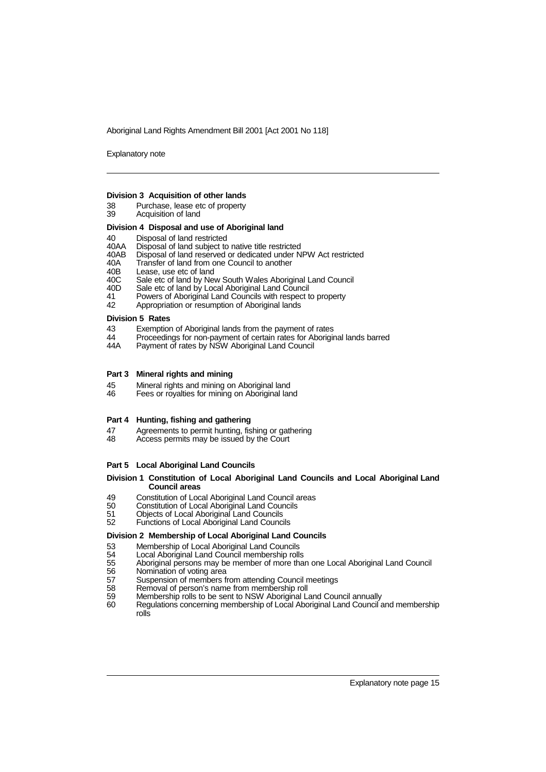Explanatory note

#### **Division 3 Acquisition of other lands**

- 38 Purchase, lease etc of property<br>39 Acquisition of land
- Acquisition of land

#### **Division 4 Disposal and use of Aboriginal land**

- 40 Disposal of land restricted<br>40AA Disposal of land subject to
- 40AA Disposal of land subject to native title restricted
- 40AB Disposal of land reserved or dedicated under NPW Act restricted 40A Transfer of land from one Council to another
- 40A Transfer of land from one Council to another<br>40B Lease, use etc of land
- 40B Lease, use etc of land<br>40C Sale etc of land by Net
- 40C Sale etc of land by New South Wales Aboriginal Land Council<br>40D Sale etc of land by Local Aboriginal Land Council
- 40D Sale etc of land by Local Aboriginal Land Council
- 41 Powers of Aboriginal Land Councils with respect to property<br>42 Appropriation or resumption of Aboriginal lands
- Appropriation or resumption of Aboriginal lands

#### **Division 5 Rates**

- 43 Exemption of Aboriginal lands from the payment of rates<br>44 Proceedings for non-payment of certain rates for Aborigin
- 44 Proceedings for non-payment of certain rates for Aboriginal lands barred
- 44A Payment of rates by NSW Aboriginal Land Council

#### **Part 3 Mineral rights and mining**

- 45 Mineral rights and mining on Aboriginal land<br>46 Fees or royalties for mining on Aboriginal lan
- Fees or royalties for mining on Aboriginal land

#### **Part 4 Hunting, fishing and gathering**

- 47 Agreements to permit hunting, fishing or gathering<br>48 Access permits may be issued by the Court
- Access permits may be issued by the Court

#### **Part 5 Local Aboriginal Land Councils**

#### **Division 1 Constitution of Local Aboriginal Land Councils and Local Aboriginal Land Council areas**

- 49 Constitution of Local Aboriginal Land Council areas<br>50 Constitution of Local Aboriginal Land Councils
- 50 Constitution of Local Aboriginal Land Councils<br>51 Objects of Local Aboriginal Land Councils
- 51 Objects of Local Aboriginal Land Councils<br>52 Functions of Local Aboriginal Land Council
- Functions of Local Aboriginal Land Councils

#### **Division 2 Membership of Local Aboriginal Land Councils**

- 
- 53 Membership of Local Aboriginal Land Councils<br>54 Local Aboriginal Land Council membership rolls
- 54 Local Aboriginal Land Council membership rolls 55 Aboriginal persons may be member of more than one Local Aboriginal Land Council
- 
- 56 Nomination of voting area<br>57 Suspension of members fi
- 57 Suspension of members from attending Council meetings<br>58 Removal of person's name from membership roll
- 58 Removal of person's name from membership roll<br>59 Membership rolls to be sent to NSW Aboriginal L 59 Membership rolls to be sent to NSW Aboriginal Land Council annually
- Regulations concerning membership of Local Aboriginal Land Council and membership rolls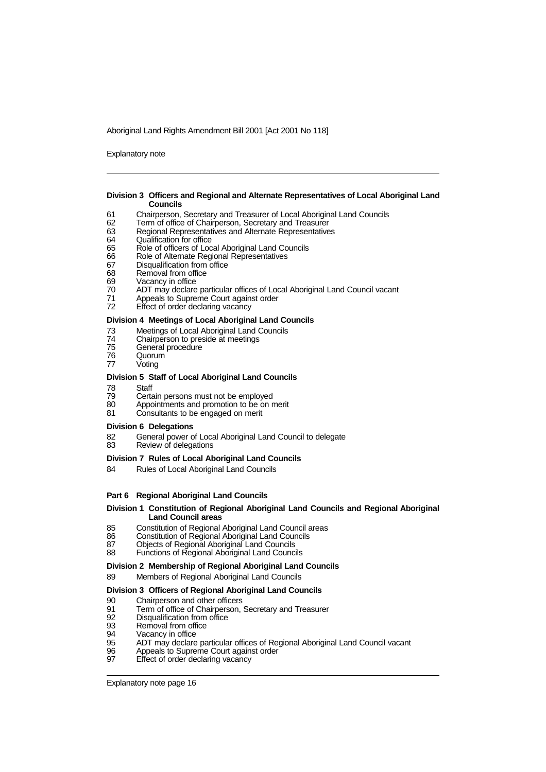Explanatory note

#### **Division 3 Officers and Regional and Alternate Representatives of Local Aboriginal Land Councils**

- 61 Chairperson, Secretary and Treasurer of Local Aboriginal Land Councils
- 62 Term of office of Chairperson, Secretary and Treasurer<br>63 Regional Representatives and Alternate Representative
- 63 Regional Representatives and Alternate Representatives
- 64 Qualification for office<br>65 Role of officers of Loc
- 65 Role of officers of Local Aboriginal Land Councils
- 66 Role of Alternate Regional Representatives<br>67 Disqualification from office
- 67 Disqualification from office<br>68 Removal from office
- Removal from office
- 69 Vacancy in office<br>70 ADT may declare
- 70 ADT may declare particular offices of Local Aboriginal Land Council vacant
- 71 Appeals to Supreme Court against order<br>72 Effect of order declaring vacancy
- Effect of order declaring vacancy

#### **Division 4 Meetings of Local Aboriginal Land Councils**

- 73 Meetings of Local Aboriginal Land Councils<br>74 Chairperson to preside at meetings
- 74 Chairperson to preside at meetings
- 75 General procedure<br>76 Quorum
- **Quorum**
- 77 Voting

#### **Division 5 Staff of Local Aboriginal Land Councils**

- 78 Staff<br>79 Certa
- 79 Certain persons must not be employed<br>80 Appointments and promotion to be on r
- Appointments and promotion to be on merit
- 81 Consultants to be engaged on merit

#### **Division 6 Delegations**

- 82 General power of Local Aboriginal Land Council to delegate<br>83 Review of delegations
- Review of delegations

#### **Division 7 Rules of Local Aboriginal Land Councils**

84 Rules of Local Aboriginal Land Councils

#### **Part 6 Regional Aboriginal Land Councils**

#### **Division 1 Constitution of Regional Aboriginal Land Councils and Regional Aboriginal Land Council areas**

- 85 Constitution of Regional Aboriginal Land Council areas<br>86 Constitution of Regional Aboriginal Land Councils
- 86 Constitution of Regional Aboriginal Land Councils<br>87 Objects of Regional Aboriginal Land Councils
- 87 Objects of Regional Aboriginal Land Councils<br>88 Eunctions of Regional Aboriginal Land Council
- Functions of Regional Aboriginal Land Councils

#### **Division 2 Membership of Regional Aboriginal Land Councils**

#### 89 Members of Regional Aboriginal Land Councils

#### **Division 3 Officers of Regional Aboriginal Land Councils**

- 90 Chairperson and other officers<br>91 Term of office of Chairperson,
- 91 Term of office of Chairperson, Secretary and Treasurer<br>92 Disqualification from office
- 92 Disqualification from office<br>93 Removal from office
- Removal from office
- 94 Vacancy in office<br>95 ADT may declare
- 95 ADT may declare particular offices of Regional Aboriginal Land Council vacant
- 96 Appeals to Supreme Court against order<br>97 Ffect of order declaring vacancy
- Effect of order declaring vacancy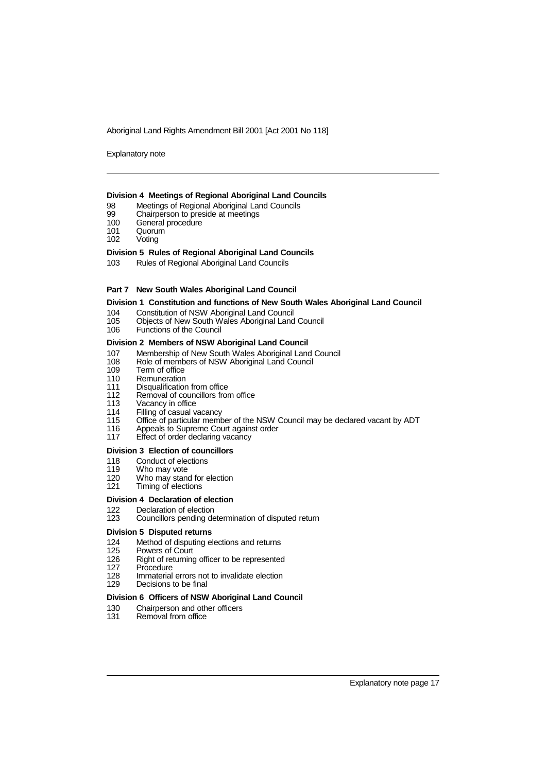Explanatory note

#### **Division 4 Meetings of Regional Aboriginal Land Councils**

- 98 Meetings of Regional Aboriginal Land Councils<br>99 Chairperson to preside at meetings
- 99 Chairperson to preside at meetings<br>100 General procedure
- 100 General procedure<br>101 Quorum
- 101 Quorum<br>102 Voting
- Voting

#### **Division 5 Rules of Regional Aboriginal Land Councils**

103 Rules of Regional Aboriginal Land Councils

#### **Part 7 New South Wales Aboriginal Land Council**

#### **Division 1 Constitution and functions of New South Wales Aboriginal Land Council**

- 104 Constitution of NSW Aboriginal Land Council<br>105 Objects of New South Wales Aboriginal Land
- 105 Objects of New South Wales Aboriginal Land Council
- Functions of the Council

#### **Division 2 Members of NSW Aboriginal Land Council**

- 107 Membership of New South Wales Aboriginal Land Council
- 108 Role of members of NSW Aboriginal Land Council
- 109 Term of office<br>110 Remuneration
- 110 Remuneration<br>111 Disqualification
- 111 Disqualification from office<br>112 Removal of councillors from
- 112 Removal of councillors from office<br>113 Vacancy in office
- 113 Vacancy in office<br>114 Filling of casual v
- Filling of casual vacancy
- 115 Office of particular member of the NSW Council may be declared vacant by ADT<br>116 Appeals to Supreme Court against order
- 116 Appeals to Supreme Court against order<br>117 Effect of order declaring vacancy
- Effect of order declaring vacancy

#### **Division 3 Election of councillors**

- 118 Conduct of elections
- 119 Who may vote<br>120 Who may stan
- 120 Who may stand for election<br>121 Timing of elections
- Timing of elections

#### **Division 4 Declaration of election**

122 Declaration of election<br>123 Councillors pending de Councillors pending determination of disputed return

#### **Division 5 Disputed returns**

- 124 Method of disputing elections and returns<br>125 Powers of Court
- 
- 125 Powers of Court<br>126 Right of returning Right of returning officer to be represented
- 127 Procedure<br>128 Immaterial
- 128 Immaterial errors not to invalidate election<br>129 Decisions to be final
- Decisions to be final

#### **Division 6 Officers of NSW Aboriginal Land Council**

- 130 Chairperson and other officers<br>131 Removal from office
- Removal from office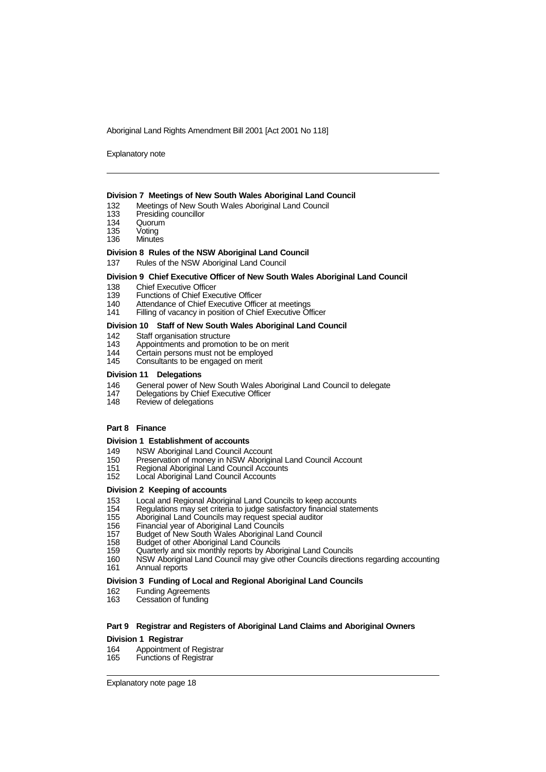Explanatory note

#### **Division 7 Meetings of New South Wales Aboriginal Land Council**

- 132 Meetings of New South Wales Aboriginal Land Council<br>133 Presiding councillor
- 133 Presiding councillor<br>134 Quorum
- 
- 134 Quorum<br>135 Voting 135 Voting<br>136 Minute
- Minutes

#### **Division 8 Rules of the NSW Aboriginal Land Council**

137 Rules of the NSW Aboriginal Land Council

#### **Division 9 Chief Executive Officer of New South Wales Aboriginal Land Council**

- 
- 138 Chief Executive Officer<br>139 Functions of Chief Exee
- 139 Functions of Chief Executive Officer<br>140 Attendance of Chief Executive Office
- 140 Attendance of Chief Executive Officer at meetings<br>141 Filling of vacancy in position of Chief Executive Of Filling of vacancy in position of Chief Executive Officer

#### **Division 10 Staff of New South Wales Aboriginal Land Council**

- 142 Staff organisation structure<br>143 Appointments and promotic
- 143 Appointments and promotion to be on merit<br>144 Certain persons must not be employed
- 144 Certain persons must not be employed<br>145 Consultants to be engaged on merit
- Consultants to be engaged on merit

#### **Division 11 Delegations**

- 146 General power of New South Wales Aboriginal Land Council to delegate<br>147 Delegations by Chief Executive Officer
- 147 Delegations by Chief Executive Officer<br>148 Review of delegations
- Review of delegations

#### **Part 8 Finance**

#### **Division 1 Establishment of accounts**

- 149 NSW Aboriginal Land Council Account<br>150 Preservation of money in NSW Aborigir
- 150 Preservation of money in NSW Aboriginal Land Council Account<br>151 Regional Aboriginal Land Council Accounts
- 151 Regional Aboriginal Land Council Accounts<br>152 Local Aboriginal Land Council Accounts
- Local Aboriginal Land Council Accounts

#### **Division 2 Keeping of accounts**

- 153 Local and Regional Aboriginal Land Councils to keep accounts
- 154 Regulations may set criteria to judge satisfactory financial statements<br>155 Aboriginal Land Councils may request special auditor
- 155 Aboriginal Land Councils may request special auditor
- 156 Financial year of Aboriginal Land Councils
- 157 Budget of New South Wales Aboriginal Land Council
- 158 Budget of other Aboriginal Land Councils<br>159 Cuarterly and six monthly reports by Abor
- 159 Quarterly and six monthly reports by Aboriginal Land Councils
- NSW Aboriginal Land Council may give other Councils directions regarding accounting
- 161 Annual reports

#### **Division 3 Funding of Local and Regional Aboriginal Land Councils**

- 162 Funding Agreements<br>163 Cessation of funding
- Cessation of funding

#### **Part 9 Registrar and Registers of Aboriginal Land Claims and Aboriginal Owners**

#### **Division 1 Registrar**

- 164 Appointment of Registrar<br>165 Functions of Registrar
- **Functions of Registrar**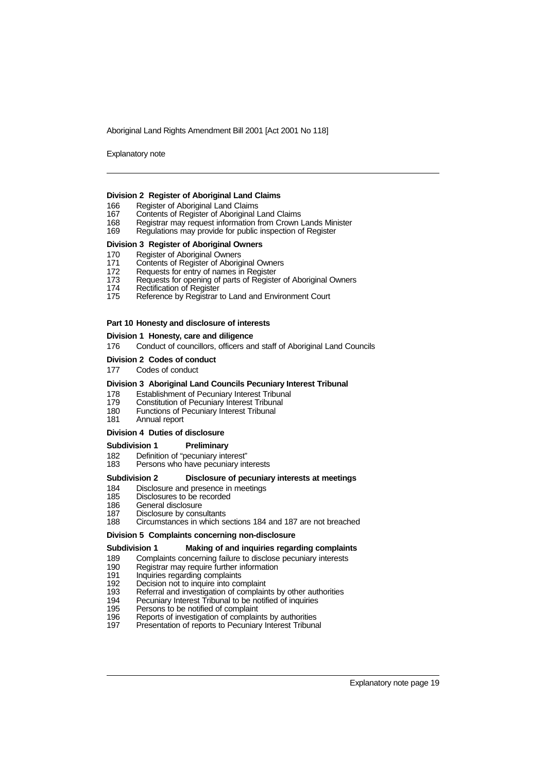Explanatory note

#### **Division 2 Register of Aboriginal Land Claims**

- 166 Register of Aboriginal Land Claims<br>167 Contents of Register of Aboriginal L
- 167 Contents of Register of Aboriginal Land Claims<br>168 Registrar may request information from Crown I
- 168 Registrar may request information from Crown Lands Minister<br>169 Regulations may provide for public inspection of Register
- Regulations may provide for public inspection of Register

#### **Division 3 Register of Aboriginal Owners**

- 170 Register of Aboriginal Owners
- 171 Contents of Register of Aboriginal Owners<br>172 Requests for entry of names in Register
- 
- 172 Requests for entry of names in Register<br>173 Requests for opening of parts of Registe 173 Requests for opening of parts of Register of Aboriginal Owners<br>174 Rectification of Register
- 174 Rectification of Register<br>175 Reference by Registrar
- Reference by Registrar to Land and Environment Court

#### **Part 10 Honesty and disclosure of interests**

#### **Division 1 Honesty, care and diligence**

176 Conduct of councillors, officers and staff of Aboriginal Land Councils

#### **Division 2 Codes of conduct**

177 Codes of conduct

#### **Division 3 Aboriginal Land Councils Pecuniary Interest Tribunal**

- 178 Establishment of Pecuniary Interest Tribunal
- 
- 179 Constitution of Pecuniary Interest Tribunal<br>180 Functions of Pecuniary Interest Tribunal 180 Functions of Pecuniary Interest Tribunal<br>181 Annual report
- Annual report

#### **Division 4 Duties of disclosure**

#### **Subdivision 1 Preliminary**

- 182 Definition of "pecuniary interest"
- 183 Persons who have pecuniary interests

#### **Subdivision 2 Disclosure of pecuniary interests at meetings**

## 184 Disclosure and presence in meetings<br>185 Disclosures to be recorded

- 185 Disclosures to be recorded<br>186 General disclosure
- General disclosure
- 187 Disclosure by consultants<br>188 Circumstances in which so
- Circumstances in which sections 184 and 187 are not breached

#### **Division 5 Complaints concerning non-disclosure**

#### **Subdivision 1 Making of and inquiries regarding complaints**

- 189 Complaints concerning failure to disclose pecuniary interests<br>190 Registrar may require further information
- 190 Registrar may require further information
- 191 Inquiries regarding complaints<br>192 Decision not to inquire into cor
- 192 Decision not to inquire into complaint<br>193 Referral and investigation of complain
- 193 Referral and investigation of complaints by other authorities<br>194 Pecuniary Interest Tribunal to be notified of inquiries
- **Pecuniary Interest Tribunal to be notified of inquiries**
- 
- 195 Persons to be notified of complaint<br>196 Reports of investigation of complair 196 Reports of investigation of complaints by authorities<br>197 Presentation of reports to Pecuniary Interest Tribuna
- Presentation of reports to Pecuniary Interest Tribunal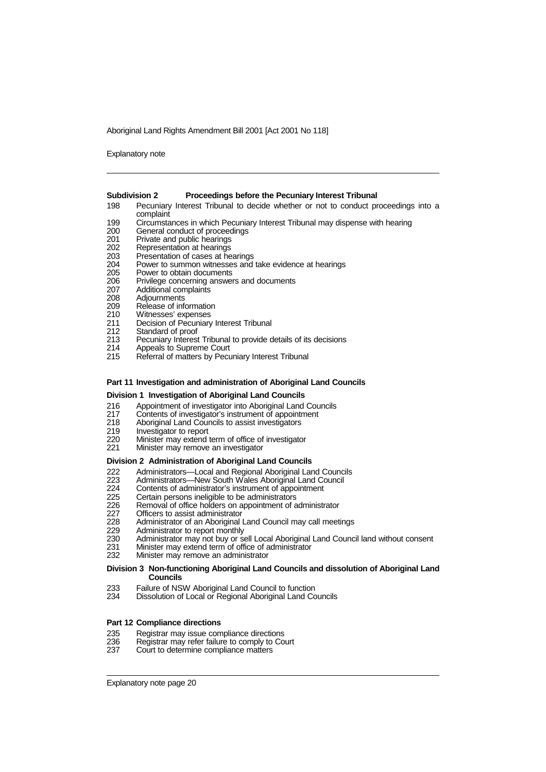Explanatory note

#### **Subdivision 2 Proceedings before the Pecuniary Interest Tribunal**

- 198 Pecuniary Interest Tribunal to decide whether or not to conduct proceedings into a complaint
- 199 Circumstances in which Pecuniary Interest Tribunal may dispense with hearing
- 200 General conduct of proceedings<br>201 Private and public hearings
- 201 Private and public hearings<br>202 Representation at hearings
- 
- 202 Representation at hearings<br>203 Presentation of cases at he
- 203 Presentation of cases at hearings<br>204 Power to summon witnesses and 204 Power to summon witnesses and take evidence at hearings<br>205 Power to obtain documents
- 205 Power to obtain documents<br>206 Privilege concerning answe
- 206 Privilege concerning answers and documents<br>207 Additional complaints
- 207 Additional complaints<br>208 Adjournments
- 208 Adjournments<br>209 Release of info
- 209 Release of information<br>210 Witnesses' expenses
- 210 Witnesses' expenses
- 211 Decision of Pecuniary Interest Tribunal
- 212 Standard of proof<br>213 Pecuniary Interes
- 213 Pecuniary Interest Tribunal to provide details of its decisions<br>214 Appeals to Supreme Court
- Appeals to Supreme Court
- 215 Referral of matters by Pecuniary Interest Tribunal

#### **Part 11 Investigation and administration of Aboriginal Land Councils**

#### **Division 1 Investigation of Aboriginal Land Councils**

- 216 Appointment of investigator into Aboriginal Land Councils<br>217 Contents of investigator's instrument of appointment
- 217 Contents of investigator's instrument of appointment<br>218 Aboriginal Land Councils to assist investigators<br>219 Investigator to report
- Aboriginal Land Councils to assist investigators
- 219 Investigator to report<br>220 Minister may extend
- 220 Minister may extend term of office of investigator<br>221 Minister may remove an investigator
- Minister may remove an investigator

#### **Division 2 Administration of Aboriginal Land Councils**

- 222 Administrators—Local and Regional Aboriginal Land Councils<br>223 Administrators—New South Wales Aboriginal Land Council<br>224 Contents of administrator's instrument of appointment
- Administrators-New South Wales Aboriginal Land Council
- 224 Contents of administrator's instrument of appointment<br>225 Certain persons ineligible to be administrators
- 225 Certain persons ineligible to be administrators<br>226 Removal of office holders on appointment of a<br>227 Officers to assist administrator
- Removal of office holders on appointment of administrator
- 
- 227 Officers to assist administrator<br>228 Administrator of an Aboriginal I 228 Administrator of an Aboriginal Land Council may call meetings<br>229 Administrator to report monthly
- 229 Administrator to report monthly<br>230 Administrator may not buy or se
- 230 Administrator may not buy or sell Local Aboriginal Land Council land without consent<br>231 Minister may extend term of office of administrator
- 231 Minister may extend term of office of administrator<br>232 Minister may remove an administrator
- Minister may remove an administrator

#### **Division 3 Non-functioning Aboriginal Land Councils and dissolution of Aboriginal Land Councils**

- 233 Failure of NSW Aboriginal Land Council to function<br>234 Dissolution of Local or Regional Aboriginal Land Co
- Dissolution of Local or Regional Aboriginal Land Councils

#### **Part 12 Compliance directions**

- 
- 235 Registrar may issue compliance directions<br>236 Registrar may refer failure to comply to Co 236 Registrar may refer failure to comply to Court<br>237 Court to determine compliance matters
- Court to determine compliance matters